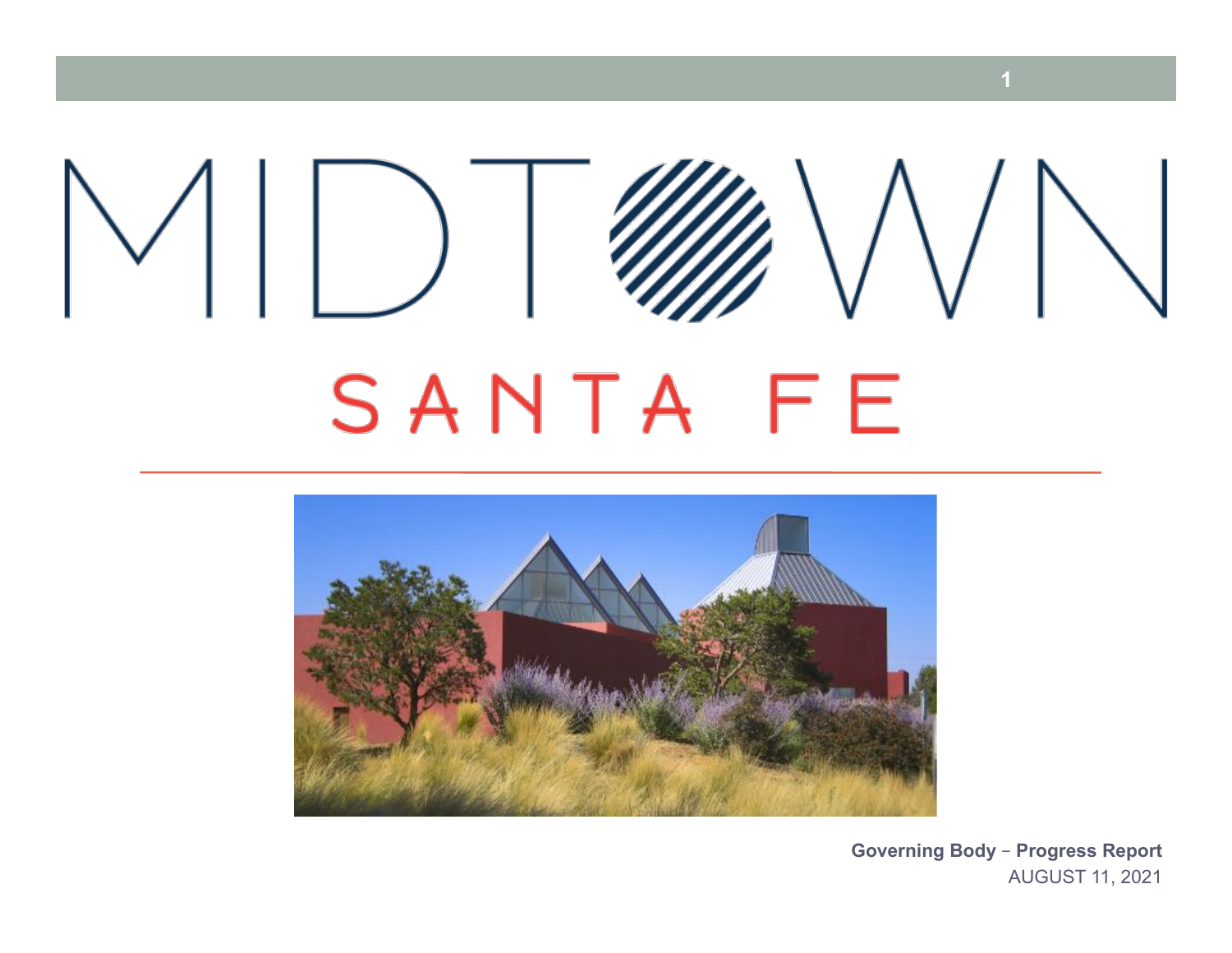# $\vee$   $\vert\,\vert$   $\vert$  $\bigvee$ SANTA FE



**Governing Body – Progress Report**  AUGUST 11, 2021

**1**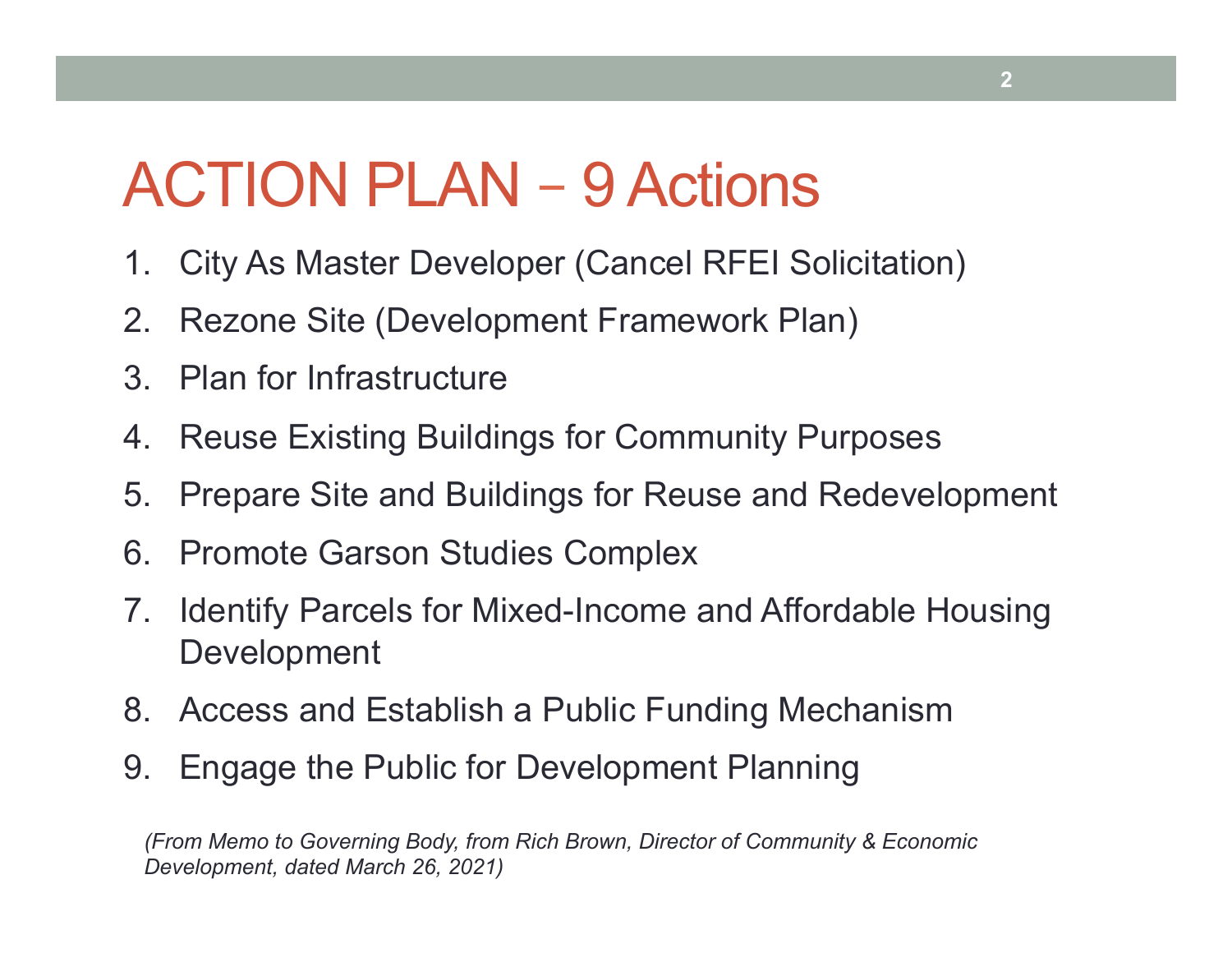# ACTION PLAN – 9 Actions

- 1. City As Master Developer (Cancel RFEI Solicitation)
- 2. Rezone Site (Development Framework Plan)
- 3. Plan for Infrastructure
- 4. Reuse Existing Buildings for Community Purposes
- 5. Prepare Site and Buildings for Reuse and Redevelopment
- 6. Promote Garson Studies Complex
- 7. Identify Parcels for Mixed-Income and Affordable Housing Development
- 8. Access and Establish a Public Funding Mechanism
- 9. Engage the Public for Development Planning

*(From Memo to Governing Body, from Rich Brown, Director of Community & Economic Development, dated March 26, 2021)*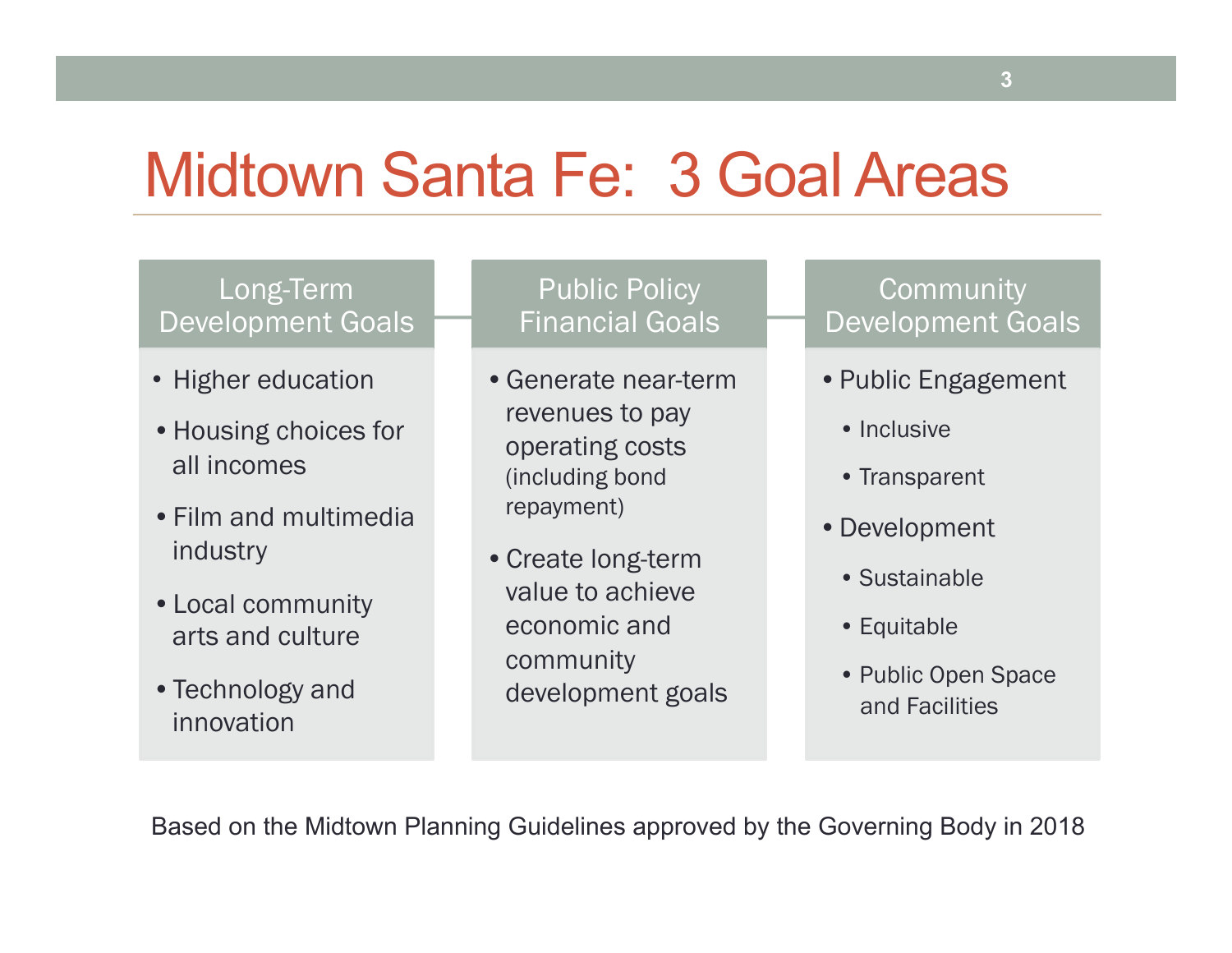### Midtown Santa Fe: 3 Goal Areas

#### Long-Term Development Goals

- Higher education
- •Housing choices for all incomes
- •Film and multimedia industry
- •Local community arts and culture
- •Technology and innovation

#### Public Policy Financial Goals

- •Generate near-term revenues to pay operating costs (including bond repayment)
- •Create long-term value to achieve economic and community development goals

#### **Community** Development Goals

- •Public Engagement
	- Inclusive
	- Transparent
- •Development
	- Sustainable
	- Equitable
	- Public Open Space and Facilities

Based on the Midtown Planning Guidelines approved by the Governing Body in 2018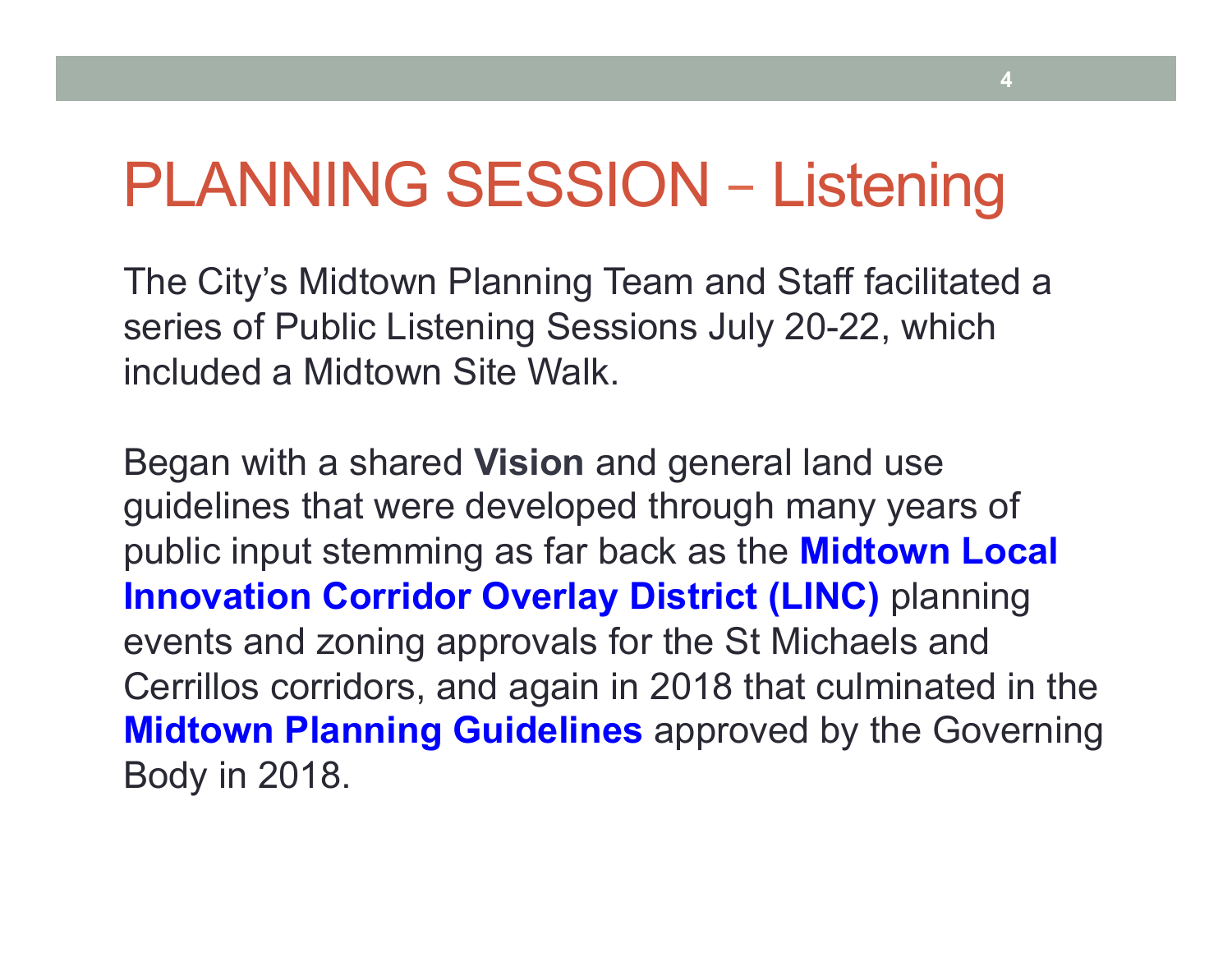## PLANNING SESSION – Listening

The City's Midtown Planning Team and Staff facilitated a series of Public Listening Sessions July 20-22, which included a Midtown Site Walk.

Began with a shared **Vision** and general land use guidelines that were developed through many years of public input stemming as far back as the **Midtown Local Innovation Corridor Overlay District (LINC)** planning events and zoning approvals for the St Michaels and Cerrillos corridors, and again in 2018 that culminated in the **Midtown Planning Guidelines** approved by the Governing Body in 2018.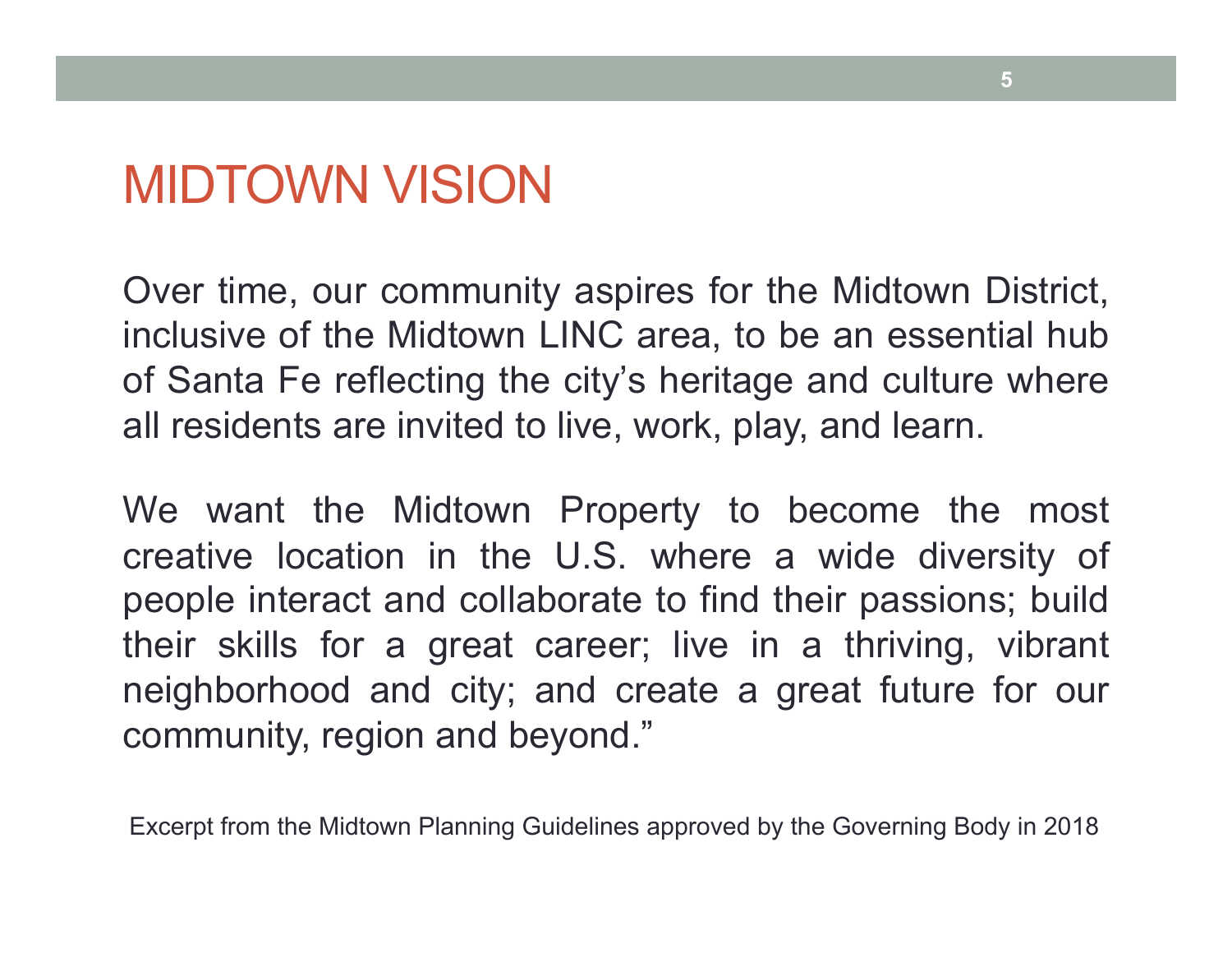### MIDTOWN VISION

Over time, our community aspires for the Midtown District, inclusive of the Midtown LINC area, to be an essential hub of Santa Fe reflecting the city's heritage and culture where all residents are invited to live, work, play, and learn.

We want the Midtown Property to become the most creative location in the U.S. where a wide diversity of people interact and collaborate to find their passions; build their skills for a great career; live in a thriving, vibrant neighborhood and city; and create a great future for our community, region and beyond."

Excerpt from the Midtown Planning Guidelines approved by the Governing Body in 2018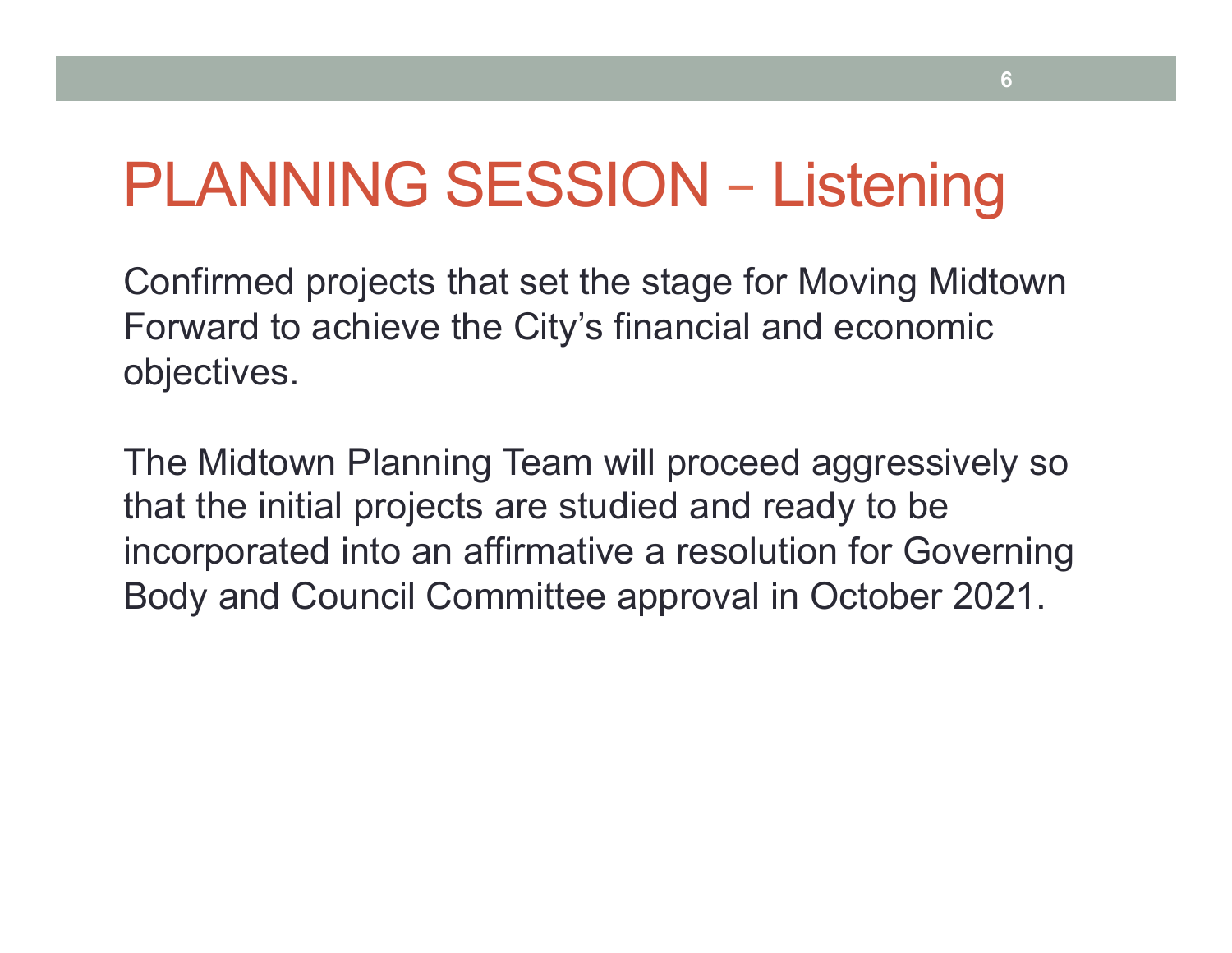# PLANNING SESSION – Listening

Confirmed projects that set the stage for Moving Midtown Forward to achieve the City's financial and economic objectives.

The Midtown Planning Team will proceed aggressively so that the initial projects are studied and ready to be incorporated into an affirmative a resolution for Governing Body and Council Committee approval in October 2021.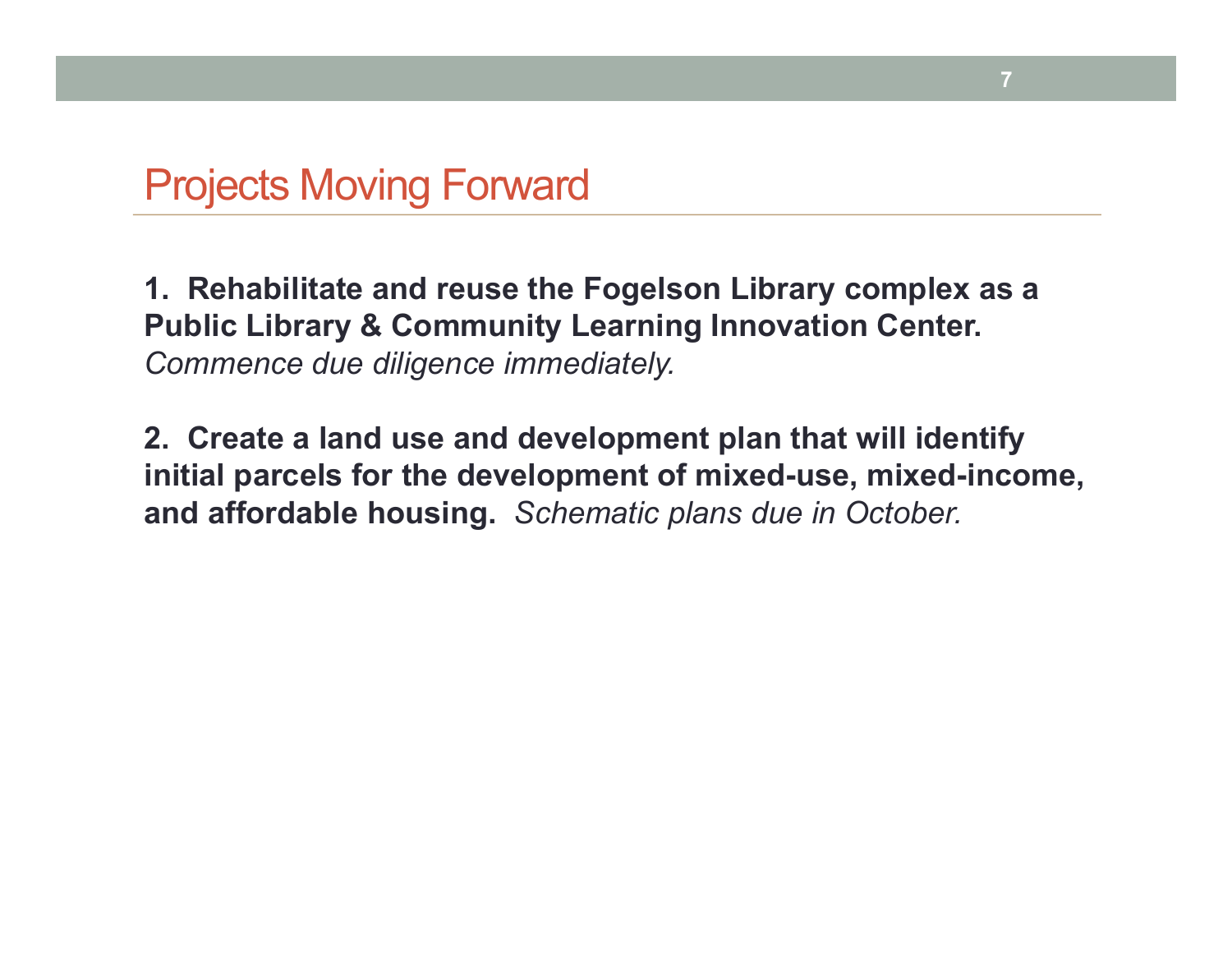**1. Rehabilitate and reuse the Fogelson Library complex as a Public Library & Community Learning Innovation Center.**  *Commence due diligence immediately.* 

**7** 

**2. Create a land use and development plan that will identify initial parcels for the development of mixed-use, mixed-income, and affordable housing.** *Schematic plans due in October.*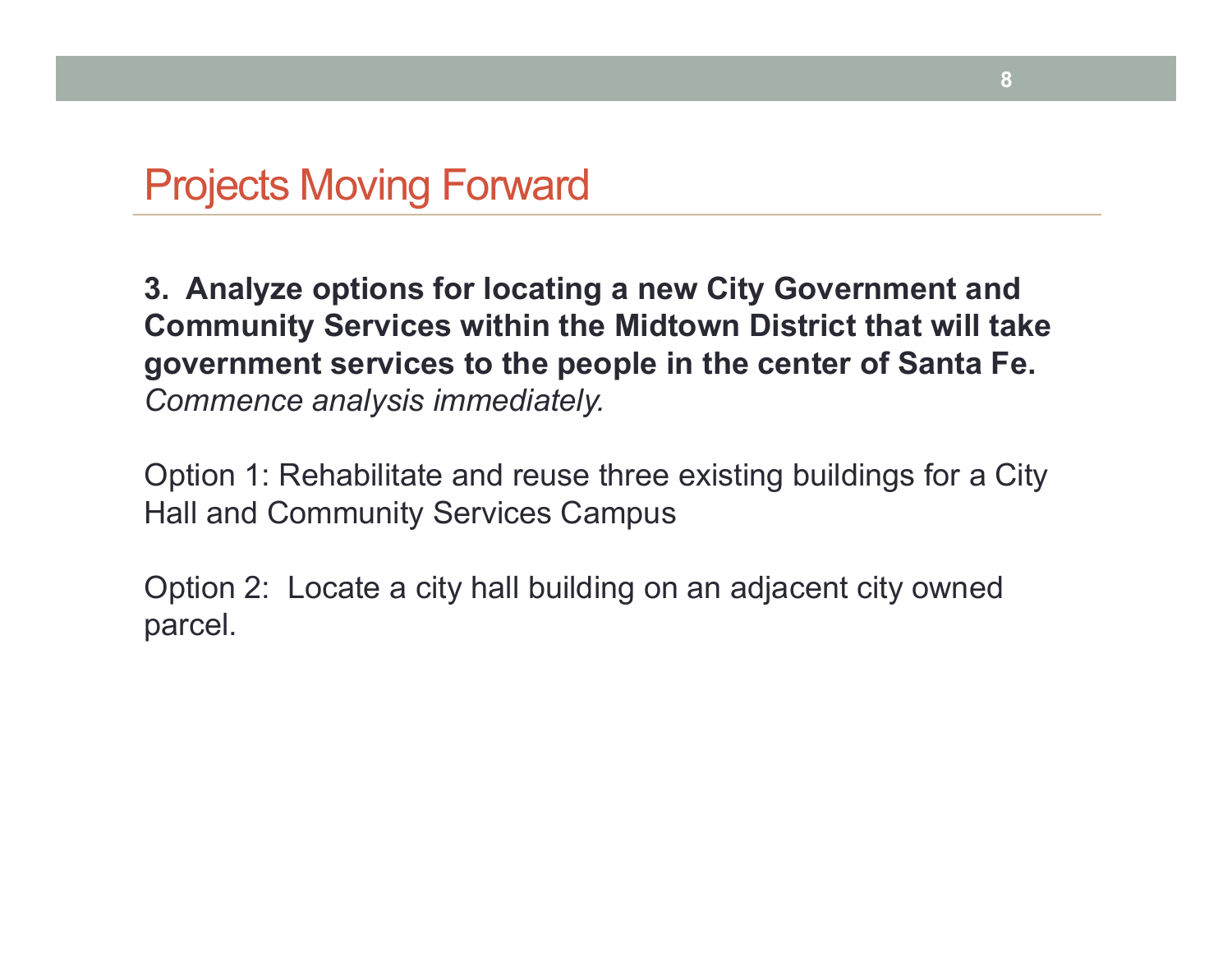**3. Analyze options for locating a new City Government and Community Services within the Midtown District that will take government services to the people in the center of Santa Fe.** *Commence analysis immediately.* 

Option 1: Rehabilitate and reuse three existing buildings for a City Hall and Community Services Campus

Option 2: Locate a city hall building on an adjacent city owned parcel.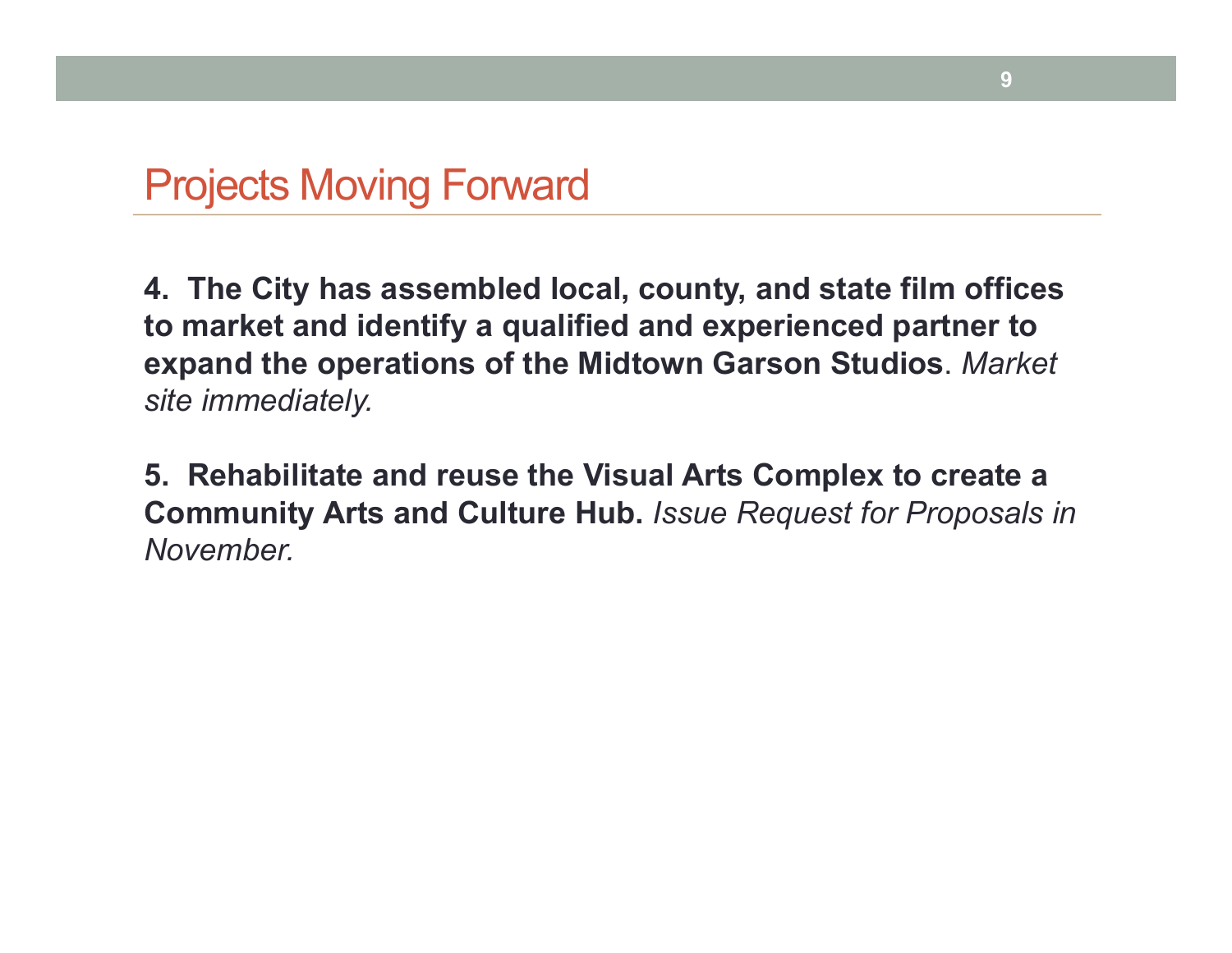**4. The City has assembled local, county, and state film offices to market and identify a qualified and experienced partner to expand the operations of the Midtown Garson Studios**. *Market site immediately.* 

**5. Rehabilitate and reuse the Visual Arts Complex to create a Community Arts and Culture Hub.** *Issue Request for Proposals in November.*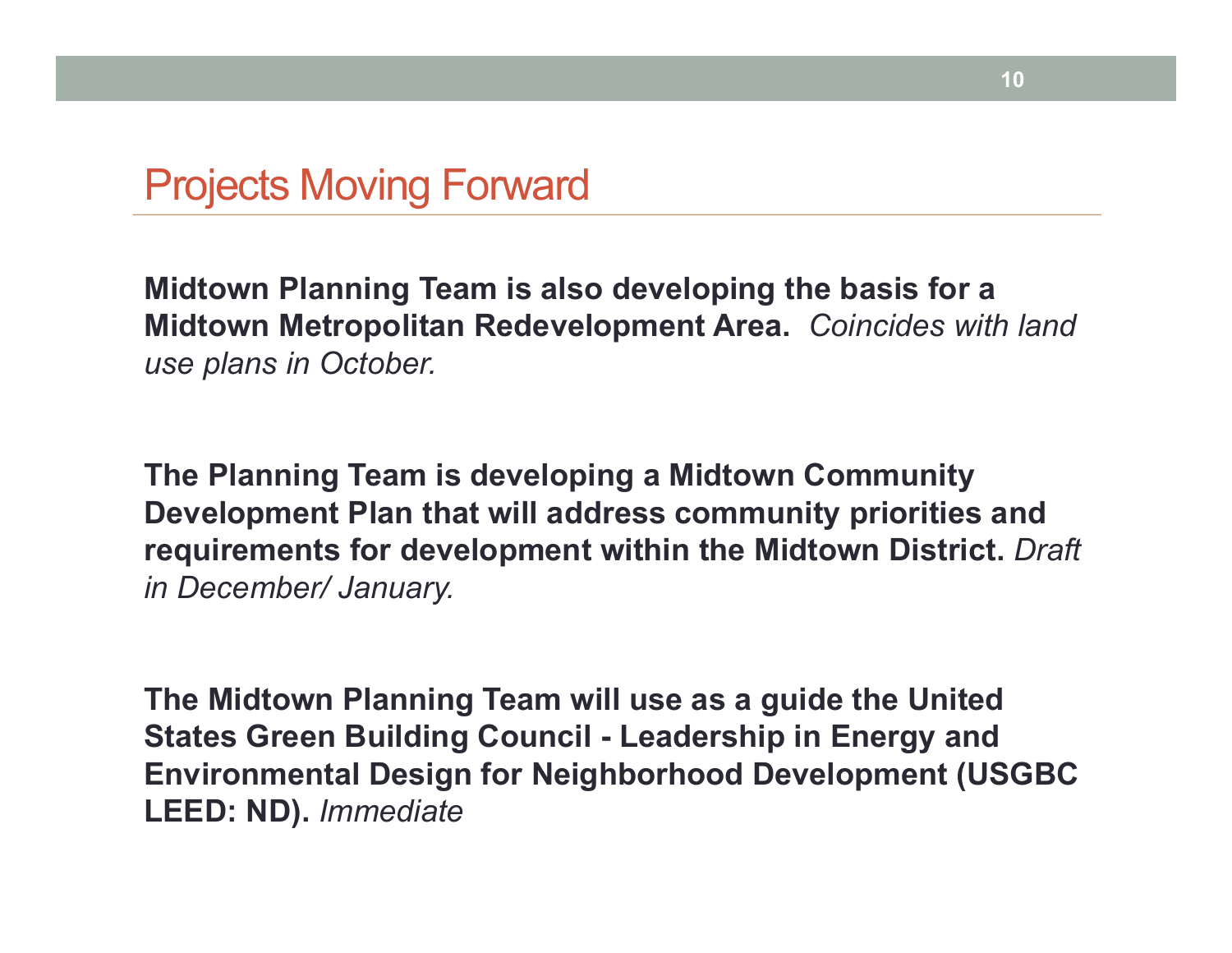**Midtown Planning Team is also developing the basis for a Midtown Metropolitan Redevelopment Area.** *Coincides with land use plans in October.*

**The Planning Team is developing a Midtown Community Development Plan that will address community priorities and requirements for development within the Midtown District.** *Draft in December/ January.* 

**The Midtown Planning Team will use as a guide the United States Green Building Council - Leadership in Energy and Environmental Design for Neighborhood Development (USGBC LEED: ND).** *Immediate*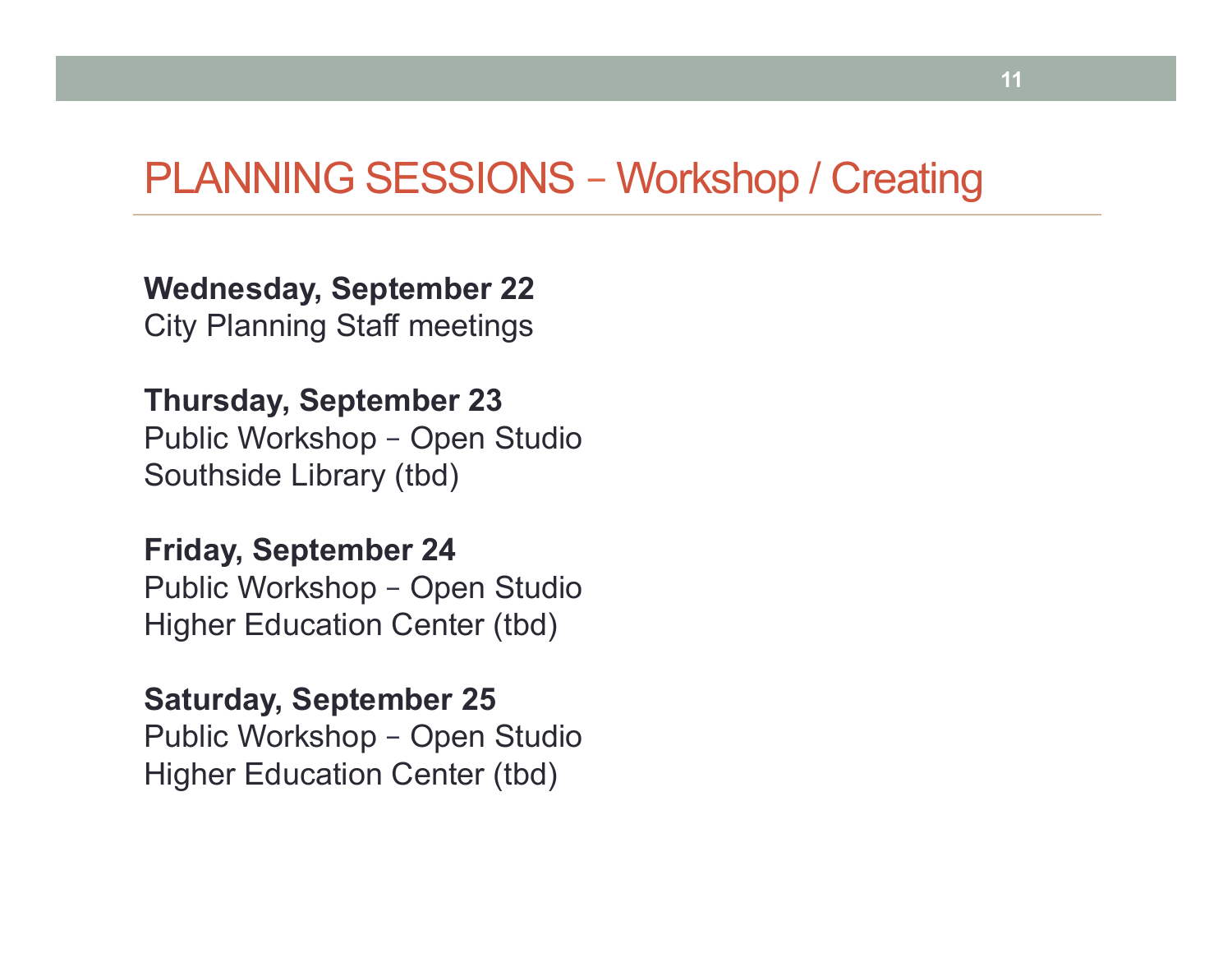### PLANNING SESSIONS – Workshop / Creating

**Wednesday, September 22**  City Planning Staff meetings

**Thursday, September 23** 

Public Workshop – Open Studio Southside Library (tbd)

**Friday, September 24**  Public Workshop – Open Studio Higher Education Center (tbd)

**Saturday, September 25**  Public Workshop – Open Studio Higher Education Center (tbd)